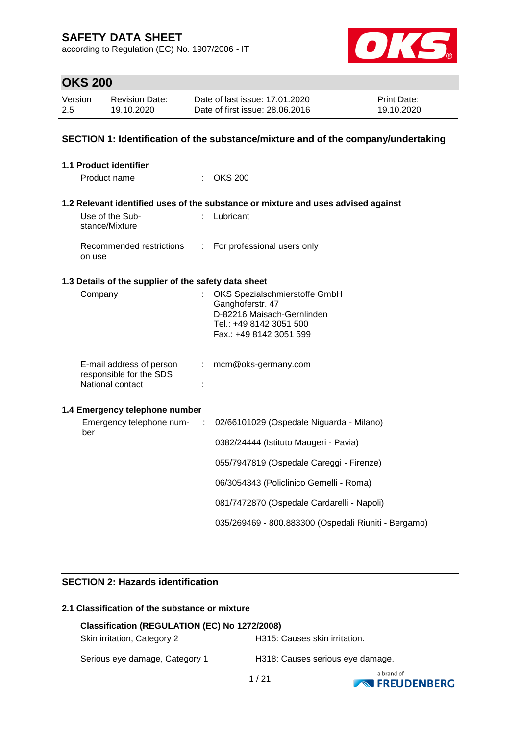according to Regulation (EC) No. 1907/2006 - IT



## **OKS 200**

| Version | <b>Revision Date:</b> | Date of last issue: 17.01.2020  | <b>Print Date:</b> |
|---------|-----------------------|---------------------------------|--------------------|
| 2.5     | 19.10.2020            | Date of first issue: 28,06,2016 | 19.10.2020         |

### **SECTION 1: Identification of the substance/mixture and of the company/undertaking**

| <b>1.1 Product identifier</b>                                                |                                                                                                                                       |
|------------------------------------------------------------------------------|---------------------------------------------------------------------------------------------------------------------------------------|
| Product name                                                                 | $\therefore$ OKS 200                                                                                                                  |
|                                                                              | 1.2 Relevant identified uses of the substance or mixture and uses advised against                                                     |
| Use of the Sub-<br>stance/Mixture                                            | : Lubricant                                                                                                                           |
| Recommended restrictions<br>on use                                           | : For professional users only                                                                                                         |
| 1.3 Details of the supplier of the safety data sheet                         |                                                                                                                                       |
| Company                                                                      | OKS Spezialschmierstoffe GmbH<br>Ganghoferstr. 47<br>D-82216 Maisach-Gernlinden<br>Tel.: +49 8142 3051 500<br>Fax.: +49 8142 3051 599 |
| E-mail address of person<br>÷<br>responsible for the SDS<br>National contact | mcm@oks-germany.com                                                                                                                   |
| 1.4 Emergency telephone number                                               |                                                                                                                                       |
| Emergency telephone num-<br>- 11<br>ber                                      | 02/66101029 (Ospedale Niguarda - Milano)                                                                                              |
|                                                                              | 0382/24444 (Istituto Maugeri - Pavia)                                                                                                 |
|                                                                              | 055/7947819 (Ospedale Careggi - Firenze)                                                                                              |
|                                                                              | 06/3054343 (Policlinico Gemelli - Roma)                                                                                               |
|                                                                              | 081/7472870 (Ospedale Cardarelli - Napoli)                                                                                            |
|                                                                              | 035/269469 - 800.883300 (Ospedali Riuniti - Bergamo)                                                                                  |

### **SECTION 2: Hazards identification**

### **2.1 Classification of the substance or mixture**

| Classification (REGULATION (EC) No 1272/2008) |                                  |  |  |
|-----------------------------------------------|----------------------------------|--|--|
| Skin irritation, Category 2                   | H315: Causes skin irritation.    |  |  |
| Serious eye damage, Category 1                | H318: Causes serious eye damage. |  |  |

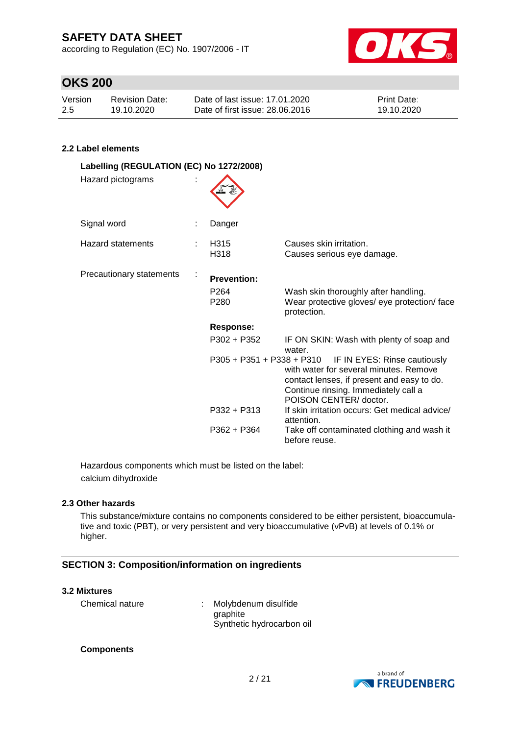according to Regulation (EC) No. 1907/2006 - IT



## **OKS 200**

| Version | Revision Date: | Date of last issue: 17.01.2020  | <b>Print Date:</b> |
|---------|----------------|---------------------------------|--------------------|
| 2.5     | 19.10.2020     | Date of first issue: 28,06,2016 | 19.10.2020         |

### **2.2 Label elements**

| Labelling (REGULATION (EC) No 1272/2008) |  |                                                            |                                                                                                                                                                                                                    |
|------------------------------------------|--|------------------------------------------------------------|--------------------------------------------------------------------------------------------------------------------------------------------------------------------------------------------------------------------|
| Hazard pictograms                        |  |                                                            |                                                                                                                                                                                                                    |
| Signal word                              |  | Danger                                                     |                                                                                                                                                                                                                    |
| <b>Hazard statements</b>                 |  | H315<br>H318                                               | Causes skin irritation.<br>Causes serious eye damage.                                                                                                                                                              |
| Precautionary statements                 |  | <b>Prevention:</b><br>P <sub>264</sub><br>P <sub>280</sub> | Wash skin thoroughly after handling.<br>Wear protective gloves/ eye protection/ face<br>protection.                                                                                                                |
|                                          |  | <b>Response:</b>                                           |                                                                                                                                                                                                                    |
|                                          |  | $P302 + P352$                                              | IF ON SKIN: Wash with plenty of soap and<br>water.                                                                                                                                                                 |
|                                          |  |                                                            | $P305 + P351 + P338 + P310$ IF IN EYES: Rinse cautiously<br>with water for several minutes. Remove<br>contact lenses, if present and easy to do.<br>Continue rinsing. Immediately call a<br>POISON CENTER/ doctor. |
|                                          |  | $P332 + P313$                                              | If skin irritation occurs: Get medical advice/<br>attention.                                                                                                                                                       |
|                                          |  | $P362 + P364$                                              | Take off contaminated clothing and wash it<br>before reuse.                                                                                                                                                        |

Hazardous components which must be listed on the label: calcium dihydroxide

### **2.3 Other hazards**

This substance/mixture contains no components considered to be either persistent, bioaccumulative and toxic (PBT), or very persistent and very bioaccumulative (vPvB) at levels of 0.1% or higher.

### **SECTION 3: Composition/information on ingredients**

### **3.2 Mixtures**

Chemical nature : Molybdenum disulfide graphite Synthetic hydrocarbon oil

### **Components**

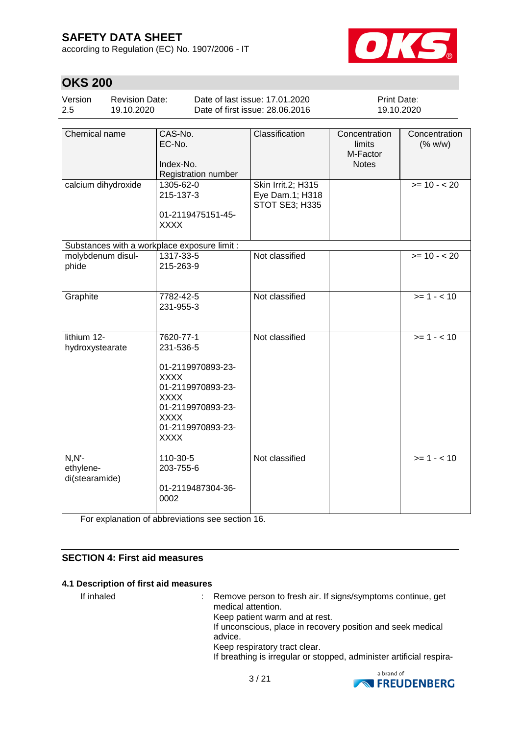according to Regulation (EC) No. 1907/2006 - IT



## **OKS 200**

| Version<br><b>Revision Date:</b><br>2.5<br>19.10.2020 |  |         | Date of last issue: 17.01.2020<br>Date of first issue: 28,06,2016 | <b>Print Date:</b><br>19.10.2020 |               |
|-------------------------------------------------------|--|---------|-------------------------------------------------------------------|----------------------------------|---------------|
|                                                       |  |         |                                                                   |                                  |               |
| l Chemical name                                       |  | CAS-No. | <b>Classification</b>                                             | Concentration                    | Concentration |

| סווסווווטמו וומוווס                          | טרו־טר <i>ו</i> ט.<br>EC-No.<br>Index-No.<br>Registration number                                                                                                       | UROOMIUAUUH                                             | <b>UUIIUGHIHAHUII</b><br>limits<br>M-Factor<br><b>Notes</b> | <b>UUIILEIILIALIUI</b><br>(% w/w) |
|----------------------------------------------|------------------------------------------------------------------------------------------------------------------------------------------------------------------------|---------------------------------------------------------|-------------------------------------------------------------|-----------------------------------|
| calcium dihydroxide                          | 1305-62-0<br>215-137-3<br>01-2119475151-45-<br><b>XXXX</b>                                                                                                             | Skin Irrit.2; H315<br>Eye Dam.1; H318<br>STOT SE3; H335 |                                                             | $>= 10 - 20$                      |
| Substances with a workplace exposure limit : |                                                                                                                                                                        |                                                         |                                                             |                                   |
| molybdenum disul-<br>phide                   | 1317-33-5<br>215-263-9                                                                                                                                                 | Not classified                                          |                                                             | $>= 10 - 20$                      |
| Graphite                                     | 7782-42-5<br>231-955-3                                                                                                                                                 | Not classified                                          |                                                             | $>= 1 - 10$                       |
| lithium 12-<br>hydroxystearate               | 7620-77-1<br>231-536-5<br>01-2119970893-23-<br><b>XXXX</b><br>01-2119970893-23-<br><b>XXXX</b><br>01-2119970893-23-<br><b>XXXX</b><br>01-2119970893-23-<br><b>XXXX</b> | Not classified                                          |                                                             | $>= 1 - 10$                       |
| $N, N'$ -<br>ethylene-<br>di(stearamide)     | 110-30-5<br>203-755-6<br>01-2119487304-36-<br>0002                                                                                                                     | Not classified                                          |                                                             | $>= 1 - 10$                       |

For explanation of abbreviations see section 16.

### **SECTION 4: First aid measures**

### **4.1 Description of first aid measures**

If inhaled : Remove person to fresh air. If signs/symptoms continue, get medical attention. Keep patient warm and at rest. If unconscious, place in recovery position and seek medical advice. Keep respiratory tract clear. If breathing is irregular or stopped, administer artificial respira-

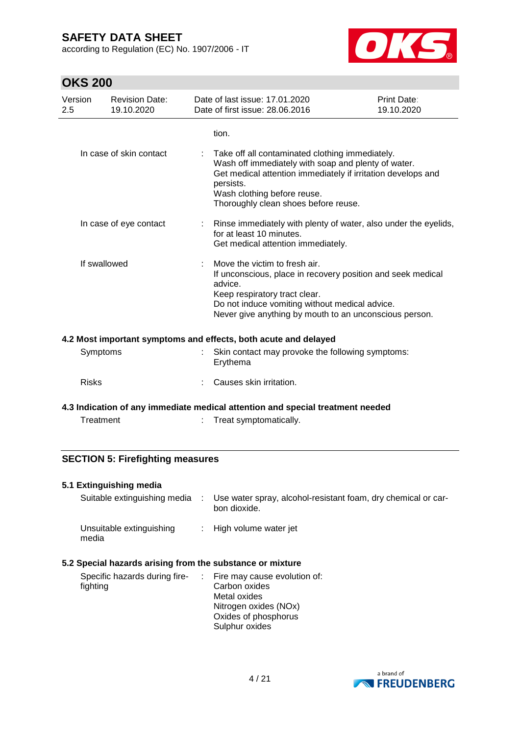according to Regulation (EC) No. 1907/2006 - IT



## **OKS 200**

| Version<br>2.5 | <b>Revision Date:</b><br>19.10.2020                                            |                           | Date of last issue: 17.01.2020<br>Date of first issue: 28.06.2016                                                                                                                                                                                          | Print Date:<br>19.10.2020 |  |
|----------------|--------------------------------------------------------------------------------|---------------------------|------------------------------------------------------------------------------------------------------------------------------------------------------------------------------------------------------------------------------------------------------------|---------------------------|--|
|                |                                                                                |                           | tion.                                                                                                                                                                                                                                                      |                           |  |
|                | In case of skin contact                                                        |                           | Take off all contaminated clothing immediately.<br>Wash off immediately with soap and plenty of water.<br>Get medical attention immediately if irritation develops and<br>persists.<br>Wash clothing before reuse.<br>Thoroughly clean shoes before reuse. |                           |  |
|                | In case of eye contact                                                         | $\mathbb{R}^{\mathbb{Z}}$ | Rinse immediately with plenty of water, also under the eyelids,<br>for at least 10 minutes.<br>Get medical attention immediately.                                                                                                                          |                           |  |
|                | If swallowed                                                                   |                           | Move the victim to fresh air.<br>If unconscious, place in recovery position and seek medical<br>advice.<br>Keep respiratory tract clear.<br>Do not induce vomiting without medical advice.<br>Never give anything by mouth to an unconscious person.       |                           |  |
|                |                                                                                |                           | 4.2 Most important symptoms and effects, both acute and delayed                                                                                                                                                                                            |                           |  |
|                | Symptoms                                                                       |                           | Skin contact may provoke the following symptoms:<br>Erythema                                                                                                                                                                                               |                           |  |
| <b>Risks</b>   |                                                                                |                           | Causes skin irritation.                                                                                                                                                                                                                                    |                           |  |
|                | 4.3 Indication of any immediate medical attention and special treatment needed |                           |                                                                                                                                                                                                                                                            |                           |  |
|                | Treatment                                                                      |                           | Treat symptomatically.                                                                                                                                                                                                                                     |                           |  |

### **SECTION 5: Firefighting measures**

### **5.1 Extinguishing media**

| Suitable extinguishing media :                                                                                          | Use water spray, alcohol-resistant foam, dry chemical or car-<br>bon dioxide. |
|-------------------------------------------------------------------------------------------------------------------------|-------------------------------------------------------------------------------|
| Unsuitable extinguishing<br>media                                                                                       | : High volume water jet                                                       |
| 5.2 Special hazards arising from the substance or mixture<br>Specific hazards during fire-  Fire may cause evolution of |                                                                               |

| Specific hazards during fire-<br>fighting | $\therefore$ Fire may cause evolution of:<br>Carbon oxides<br>Metal oxides<br>Nitrogen oxides (NOx)<br>Oxides of phosphorus<br>Sulphur oxides |
|-------------------------------------------|-----------------------------------------------------------------------------------------------------------------------------------------------|
|                                           |                                                                                                                                               |

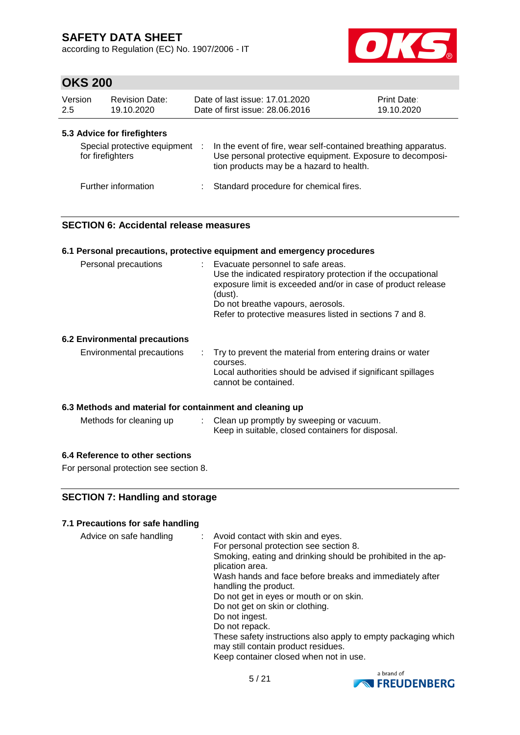according to Regulation (EC) No. 1907/2006 - IT



## **OKS 200**

| Version<br>2.5 | <b>Revision Date:</b><br>19.10.2020                                             |   | Date of last issue: 17.01.2020<br>Date of first issue: 28.06.2016                                                                                                       | <b>Print Date:</b><br>19.10.2020 |
|----------------|---------------------------------------------------------------------------------|---|-------------------------------------------------------------------------------------------------------------------------------------------------------------------------|----------------------------------|
|                | 5.3 Advice for firefighters<br>Special protective equipment<br>for firefighters | ÷ | In the event of fire, wear self-contained breathing apparatus.<br>Use personal protective equipment. Exposure to decomposi-<br>tion products may be a hazard to health. |                                  |
|                | Further information                                                             |   | Standard procedure for chemical fires.                                                                                                                                  |                                  |

### **SECTION 6: Accidental release measures**

#### **6.1 Personal precautions, protective equipment and emergency procedures**

| Personal precautions | Evacuate personnel to safe areas.<br>Use the indicated respiratory protection if the occupational<br>exposure limit is exceeded and/or in case of product release<br>(dust). |
|----------------------|------------------------------------------------------------------------------------------------------------------------------------------------------------------------------|
|                      | Do not breathe vapours, aerosols.                                                                                                                                            |
|                      | Refer to protective measures listed in sections 7 and 8.                                                                                                                     |
|                      |                                                                                                                                                                              |

### **6.2 Environmental precautions**

| Environmental precautions | : Try to prevent the material from entering drains or water<br>courses.<br>Local authorities should be advised if significant spillages<br>cannot be contained. |
|---------------------------|-----------------------------------------------------------------------------------------------------------------------------------------------------------------|
|                           |                                                                                                                                                                 |

### **6.3 Methods and material for containment and cleaning up**

| Methods for cleaning up | Clean up promptly by sweeping or vacuum.          |
|-------------------------|---------------------------------------------------|
|                         | Keep in suitable, closed containers for disposal. |

### **6.4 Reference to other sections**

For personal protection see section 8.

### **SECTION 7: Handling and storage**

### **7.1 Precautions for safe handling**

| Advice on safe handling | : Avoid contact with skin and eyes.<br>For personal protection see section 8.<br>Smoking, eating and drinking should be prohibited in the ap-<br>plication area.<br>Wash hands and face before breaks and immediately after<br>handling the product.<br>Do not get in eyes or mouth or on skin.<br>Do not get on skin or clothing.<br>Do not ingest.<br>Do not repack.<br>These safety instructions also apply to empty packaging which<br>may still contain product residues.<br>Keep container closed when not in use. |
|-------------------------|--------------------------------------------------------------------------------------------------------------------------------------------------------------------------------------------------------------------------------------------------------------------------------------------------------------------------------------------------------------------------------------------------------------------------------------------------------------------------------------------------------------------------|
|-------------------------|--------------------------------------------------------------------------------------------------------------------------------------------------------------------------------------------------------------------------------------------------------------------------------------------------------------------------------------------------------------------------------------------------------------------------------------------------------------------------------------------------------------------------|

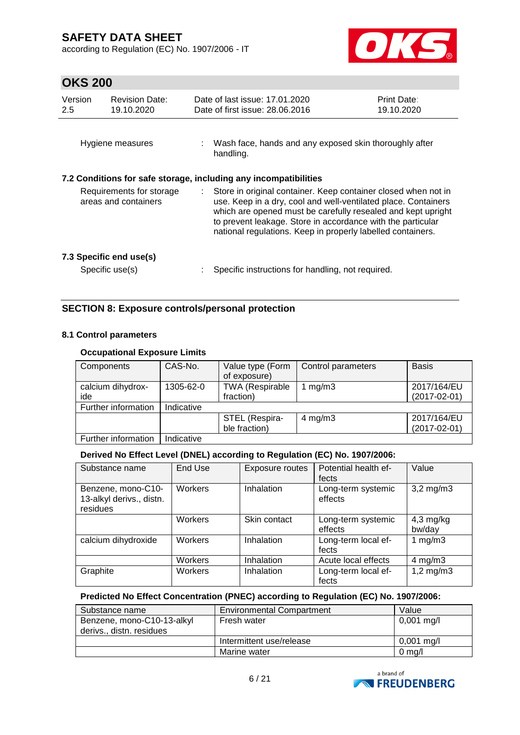according to Regulation (EC) No. 1907/2006 - IT



## **OKS 200**

| Version<br>2.5                                                                                                                                                                                                                                                                                                                                                                           | <b>Revision Date:</b><br>19.10.2020 | Date of last issue: 17.01.2020<br>Date of first issue: 28.06.2016     | <b>Print Date:</b><br>19.10.2020 |
|------------------------------------------------------------------------------------------------------------------------------------------------------------------------------------------------------------------------------------------------------------------------------------------------------------------------------------------------------------------------------------------|-------------------------------------|-----------------------------------------------------------------------|----------------------------------|
|                                                                                                                                                                                                                                                                                                                                                                                          | Hygiene measures                    | : Wash face, hands and any exposed skin thoroughly after<br>handling. |                                  |
|                                                                                                                                                                                                                                                                                                                                                                                          |                                     | 7.2 Conditions for safe storage, including any incompatibilities      |                                  |
| Requirements for storage<br>Store in original container. Keep container closed when not in<br>÷.<br>areas and containers<br>use. Keep in a dry, cool and well-ventilated place. Containers<br>which are opened must be carefully resealed and kept upright<br>to prevent leakage. Store in accordance with the particular<br>national regulations. Keep in properly labelled containers. |                                     |                                                                       |                                  |
|                                                                                                                                                                                                                                                                                                                                                                                          | 7.3 Specific end use(s)             |                                                                       |                                  |
|                                                                                                                                                                                                                                                                                                                                                                                          | Specific use(s)                     | Specific instructions for handling, not required.                     |                                  |

### **SECTION 8: Exposure controls/personal protection**

### **8.1 Control parameters**

### **Occupational Exposure Limits**

| Components          | CAS-No.    | Value type (Form<br>of exposure) | Control parameters | <b>Basis</b>       |
|---------------------|------------|----------------------------------|--------------------|--------------------|
| calcium dihydrox-   | 1305-62-0  | <b>TWA (Respirable</b>           | mg/m3              | 2017/164/EU        |
| ide                 |            | fraction)                        |                    | $(2017 - 02 - 01)$ |
| Further information | Indicative |                                  |                    |                    |
|                     |            | STEL (Respira-                   | 4 mg/m $3$         | 2017/164/EU        |
|                     |            | ble fraction)                    |                    | $(2017 - 02 - 01)$ |
| Further information | Indicative |                                  |                    |                    |

### **Derived No Effect Level (DNEL) according to Regulation (EC) No. 1907/2006:**

| Substance name                                             | End Use | Exposure routes | Potential health ef-<br>fects | Value                 |
|------------------------------------------------------------|---------|-----------------|-------------------------------|-----------------------|
| Benzene, mono-C10-<br>13-alkyl derivs., distn.<br>residues | Workers | Inhalation      | Long-term systemic<br>effects | $3,2$ mg/m $3$        |
|                                                            | Workers | Skin contact    | Long-term systemic<br>effects | $4,3$ mg/kg<br>bw/day |
| calcium dihydroxide                                        | Workers | Inhalation      | Long-term local ef-<br>fects  | 1 $mg/m3$             |
|                                                            | Workers | Inhalation      | Acute local effects           | $4 \text{ mg/m}$ 3    |
| Graphite                                                   | Workers | Inhalation      | Long-term local ef-<br>fects  | $1,2$ mg/m $3$        |

### **Predicted No Effect Concentration (PNEC) according to Regulation (EC) No. 1907/2006:**

| Substance name             | Environmental Compartment | Value                |
|----------------------------|---------------------------|----------------------|
| Benzene, mono-C10-13-alkyl | Fresh water               | $0,001 \text{ mg/l}$ |
| derivs., distn. residues   |                           |                      |
|                            | Intermittent use/release  | $0,001 \text{ mg/l}$ |
|                            | Marine water              | $0 \text{ ma/l}$     |

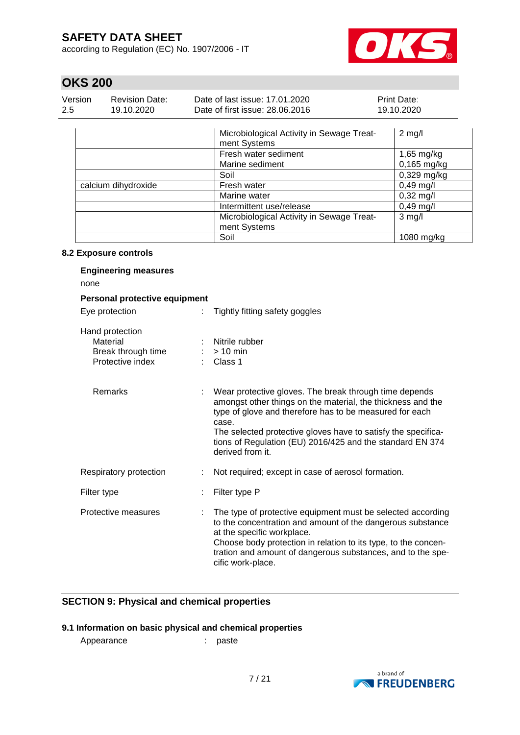according to Regulation (EC) No. 1907/2006 - IT



## **OKS 200**

| Version | <b>Revision Date:</b> | Date of last issue: 17.01.2020  | <b>Print Date:</b> |
|---------|-----------------------|---------------------------------|--------------------|
| 2.5     | 19.10.2020            | Date of first issue: 28,06,2016 | 19.10.2020         |

|                     | Microbiological Activity in Sewage Treat-<br>ment Systems | $2$ mg/l            |
|---------------------|-----------------------------------------------------------|---------------------|
|                     | Fresh water sediment                                      | 1,65 mg/kg          |
|                     | Marine sediment                                           | $0,165$ mg/kg       |
|                     | Soil                                                      | $0,329$ mg/kg       |
| calcium dihydroxide | Fresh water                                               | $0,49$ mg/l         |
|                     | Marine water                                              | $0,32 \text{ mg/l}$ |
|                     | Intermittent use/release                                  | $0,49$ mg/l         |
|                     | Microbiological Activity in Sewage Treat-<br>ment Systems | $3$ mg/l            |
|                     | Soil                                                      | $1080$ mg/kg        |

### **8.2 Exposure controls**

| <b>Engineering measures</b><br>none                                   |    |                                                                                                                                                                                                                                                                                                                                             |
|-----------------------------------------------------------------------|----|---------------------------------------------------------------------------------------------------------------------------------------------------------------------------------------------------------------------------------------------------------------------------------------------------------------------------------------------|
| Personal protective equipment                                         |    |                                                                                                                                                                                                                                                                                                                                             |
| Eye protection                                                        | t. | Tightly fitting safety goggles                                                                                                                                                                                                                                                                                                              |
| Hand protection<br>Material<br>Break through time<br>Protective index |    | Nitrile rubber<br>$> 10$ min<br>$\therefore$ Class 1                                                                                                                                                                                                                                                                                        |
| Remarks                                                               |    | Wear protective gloves. The break through time depends<br>amongst other things on the material, the thickness and the<br>type of glove and therefore has to be measured for each<br>case.<br>The selected protective gloves have to satisfy the specifica-<br>tions of Regulation (EU) 2016/425 and the standard EN 374<br>derived from it. |
| Respiratory protection                                                |    | Not required; except in case of aerosol formation.                                                                                                                                                                                                                                                                                          |
| Filter type                                                           |    | Filter type P                                                                                                                                                                                                                                                                                                                               |
| Protective measures                                                   |    | The type of protective equipment must be selected according<br>to the concentration and amount of the dangerous substance<br>at the specific workplace.<br>Choose body protection in relation to its type, to the concen-<br>tration and amount of dangerous substances, and to the spe-<br>cific work-place.                               |

### **SECTION 9: Physical and chemical properties**

### **9.1 Information on basic physical and chemical properties**

Appearance : paste

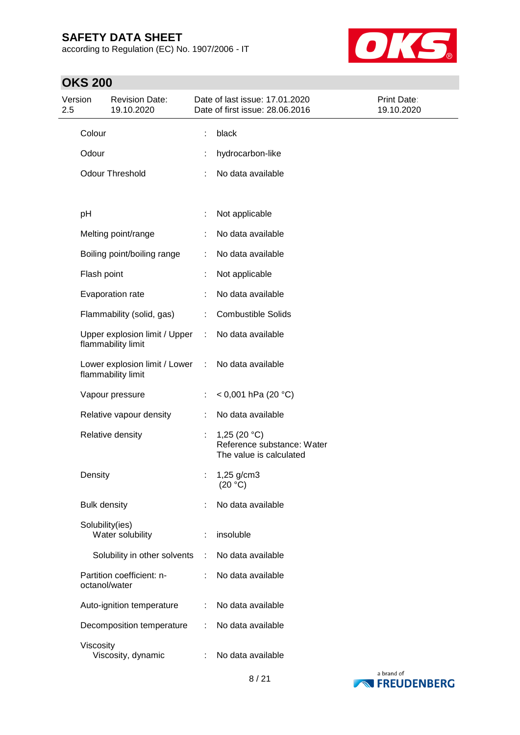according to Regulation (EC) No. 1907/2006 - IT



| Version<br>2.5 | <b>Revision Date:</b><br>19.10.2020                 |            | Date of last issue: 17.01.2020<br>Date of first issue: 28.06.2016       | Print Date:<br>19.10.2020 |
|----------------|-----------------------------------------------------|------------|-------------------------------------------------------------------------|---------------------------|
|                | Colour                                              | black<br>t |                                                                         |                           |
|                | Odour                                               |            | hydrocarbon-like                                                        |                           |
|                | <b>Odour Threshold</b>                              |            | No data available                                                       |                           |
|                | pH                                                  | ÷          | Not applicable                                                          |                           |
|                | Melting point/range                                 |            | No data available                                                       |                           |
|                | Boiling point/boiling range                         | ÷          | No data available                                                       |                           |
|                | Flash point                                         |            | Not applicable                                                          |                           |
|                | Evaporation rate                                    |            | No data available                                                       |                           |
|                | Flammability (solid, gas)                           |            | <b>Combustible Solids</b>                                               |                           |
|                | Upper explosion limit / Upper<br>flammability limit | ÷          | No data available                                                       |                           |
|                | Lower explosion limit / Lower<br>flammability limit | $\sim 10$  | No data available                                                       |                           |
|                | Vapour pressure                                     | ÷          | < 0,001 hPa (20 $^{\circ}$ C)                                           |                           |
|                | Relative vapour density                             |            | No data available                                                       |                           |
|                | Relative density                                    | ÷          | 1,25 $(20 °C)$<br>Reference substance: Water<br>The value is calculated |                           |
|                | Density                                             | ÷          | $1,25$ g/cm3<br>(20 °C)                                                 |                           |
|                | <b>Bulk density</b>                                 |            | No data available                                                       |                           |
|                | Solubility(ies)<br>Water solubility                 |            | insoluble                                                               |                           |
|                | Solubility in other solvents                        | ÷          | No data available                                                       |                           |
|                | Partition coefficient: n-<br>octanol/water          |            | No data available                                                       |                           |
|                | Auto-ignition temperature                           | ÷          | No data available                                                       |                           |
|                | Decomposition temperature                           | ÷          | No data available                                                       |                           |
|                | Viscosity<br>Viscosity, dynamic                     |            | No data available                                                       |                           |

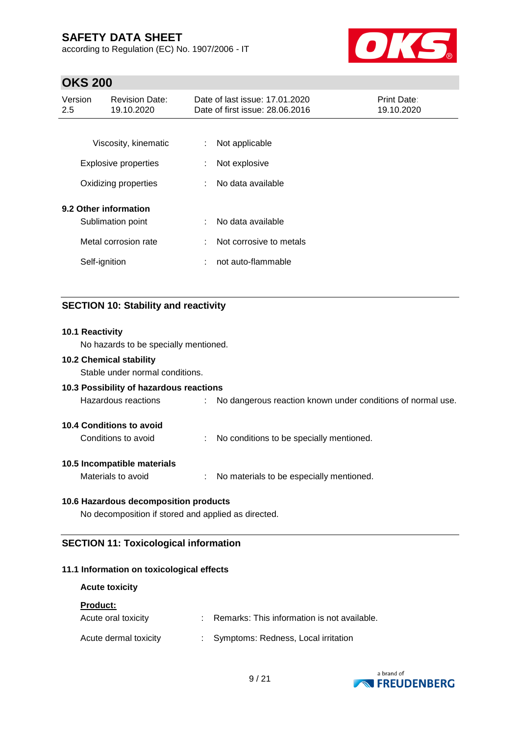according to Regulation (EC) No. 1907/2006 - IT



## **OKS 200**

| Version<br>2.5 | <b>Revision Date:</b><br>19.10.2020 |    | Date of last issue: 17.01.2020<br>Date of first issue: 28,06,2016 | <b>Print Date:</b><br>19.10.2020 |
|----------------|-------------------------------------|----|-------------------------------------------------------------------|----------------------------------|
|                |                                     |    |                                                                   |                                  |
|                | Viscosity, kinematic                | ÷. | Not applicable                                                    |                                  |
|                | <b>Explosive properties</b>         | ÷  | Not explosive                                                     |                                  |
|                | Oxidizing properties                | ÷  | No data available                                                 |                                  |
|                | 9.2 Other information               |    |                                                                   |                                  |
|                | Sublimation point                   | ÷. | No data available                                                 |                                  |
|                | Metal corrosion rate                | ÷  | Not corrosive to metals                                           |                                  |
|                | Self-ignition                       | ÷  | not auto-flammable                                                |                                  |

### **SECTION 10: Stability and reactivity**

## **10.1 Reactivity** No hazards to be specially mentioned. **10.2 Chemical stability** Stable under normal conditions. **10.3 Possibility of hazardous reactions** Hazardous reactions : No dangerous reaction known under conditions of normal use. **10.4 Conditions to avoid** Conditions to avoid : No conditions to be specially mentioned. **10.5 Incompatible materials** Materials to avoid : No materials to be especially mentioned. **10.6 Hazardous decomposition products** No decomposition if stored and applied as directed.

# **SECTION 11: Toxicological information**

### **11.1 Information on toxicological effects**

| <b>Acute toxicity</b> |                                               |
|-----------------------|-----------------------------------------------|
| <b>Product:</b>       |                                               |
| Acute oral toxicity   | : Remarks: This information is not available. |
| Acute dermal toxicity | : Symptoms: Redness, Local irritation         |

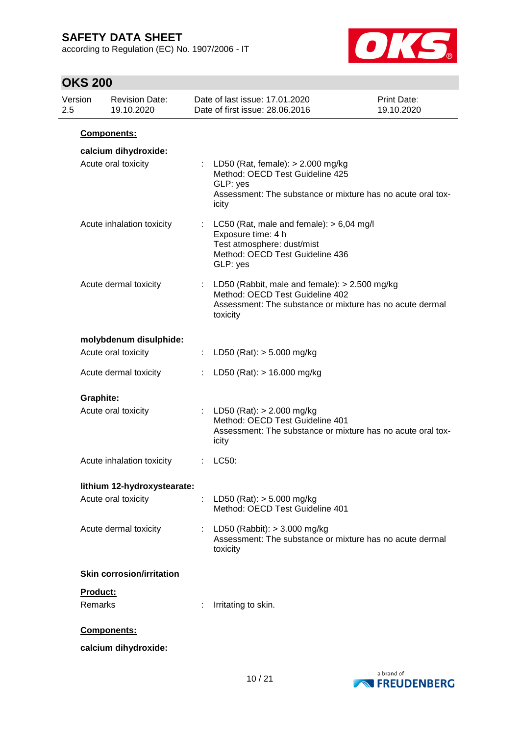according to Regulation (EC) No. 1907/2006 - IT



| Version<br>2.5 | <b>Revision Date:</b><br>19.10.2020         |    | Date of last issue: 17.01.2020<br>Date of first issue: 28.06.2016                                                                                            | Print Date:<br>19.10.2020 |
|----------------|---------------------------------------------|----|--------------------------------------------------------------------------------------------------------------------------------------------------------------|---------------------------|
|                | Components:                                 |    |                                                                                                                                                              |                           |
|                | calcium dihydroxide:<br>Acute oral toxicity |    | : LD50 (Rat, female): $> 2.000$ mg/kg<br>Method: OECD Test Guideline 425<br>GLP: yes<br>Assessment: The substance or mixture has no acute oral tox-<br>icity |                           |
|                | Acute inhalation toxicity                   |    | LC50 (Rat, male and female): $> 6,04$ mg/l<br>Exposure time: 4 h<br>Test atmosphere: dust/mist<br>Method: OECD Test Guideline 436<br>GLP: yes                |                           |
|                | Acute dermal toxicity                       |    | : LD50 (Rabbit, male and female): $> 2.500$ mg/kg<br>Method: OECD Test Guideline 402<br>Assessment: The substance or mixture has no acute dermal<br>toxicity |                           |
|                | molybdenum disulphide:                      |    |                                                                                                                                                              |                           |
|                | Acute oral toxicity                         | ÷. | LD50 (Rat): $> 5.000$ mg/kg                                                                                                                                  |                           |
|                | Acute dermal toxicity                       | ÷  | LD50 (Rat): $> 16.000$ mg/kg                                                                                                                                 |                           |
|                | Graphite:                                   |    |                                                                                                                                                              |                           |
|                | Acute oral toxicity                         |    | : LD50 (Rat): $> 2.000$ mg/kg<br>Method: OECD Test Guideline 401<br>Assessment: The substance or mixture has no acute oral tox-<br>icity                     |                           |
|                | Acute inhalation toxicity                   |    | LC50:                                                                                                                                                        |                           |
|                | lithium 12-hydroxystearate:                 |    |                                                                                                                                                              |                           |
|                | Acute oral toxicity                         |    | LD50 (Rat): $> 5.000$ mg/kg<br>Method: OECD Test Guideline 401                                                                                               |                           |
|                | Acute dermal toxicity                       | t. | LD50 (Rabbit): $>$ 3.000 mg/kg<br>Assessment: The substance or mixture has no acute dermal<br>toxicity                                                       |                           |
|                | <b>Skin corrosion/irritation</b>            |    |                                                                                                                                                              |                           |
|                | Product:<br>Remarks                         |    | Irritating to skin.                                                                                                                                          |                           |
|                | Components:                                 |    |                                                                                                                                                              |                           |
|                | calcium dihydroxide:                        |    |                                                                                                                                                              |                           |

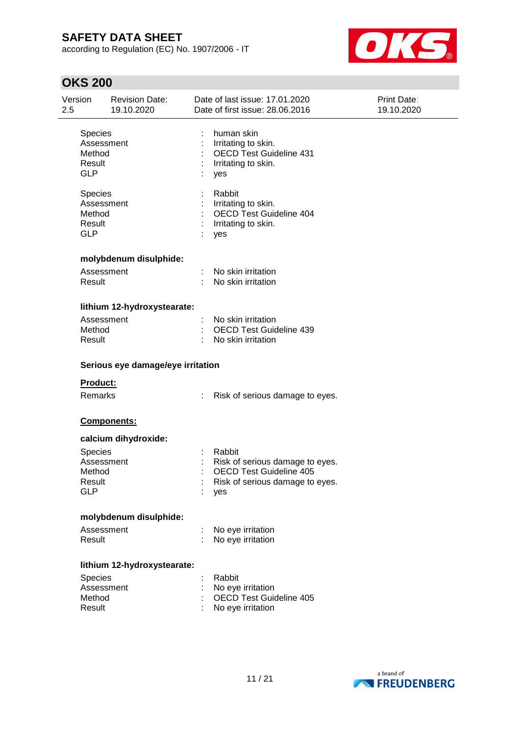according to Regulation (EC) No. 1907/2006 - IT



| Version<br>2.5 |                                                                | <b>Revision Date:</b><br>19.10.2020 | Date of last issue: 17.01.2020<br>Date of first issue: 28.06.2016                                                     | Print Date:<br>19.10.2020 |
|----------------|----------------------------------------------------------------|-------------------------------------|-----------------------------------------------------------------------------------------------------------------------|---------------------------|
|                | <b>Species</b><br>Assessment<br>Method<br>Result<br><b>GLP</b> |                                     | human skin<br>Irritating to skin.<br><b>OECD Test Guideline 431</b><br>Irritating to skin.<br>yes                     |                           |
|                | <b>Species</b><br>Assessment<br>Method<br>Result<br><b>GLP</b> |                                     | Rabbit<br>Irritating to skin.<br>OECD Test Guideline 404<br>Irritating to skin.<br>yes                                |                           |
|                |                                                                | molybdenum disulphide:              |                                                                                                                       |                           |
|                | Assessment<br>Result                                           |                                     | No skin irritation<br>No skin irritation                                                                              |                           |
|                |                                                                | lithium 12-hydroxystearate:         |                                                                                                                       |                           |
|                | Assessment<br>Method<br>Result                                 |                                     | No skin irritation<br><b>OECD Test Guideline 439</b><br>No skin irritation                                            |                           |
|                |                                                                | Serious eye damage/eye irritation   |                                                                                                                       |                           |
|                | <b>Product:</b>                                                |                                     |                                                                                                                       |                           |
|                | Remarks                                                        |                                     | Risk of serious damage to eyes.<br>÷.                                                                                 |                           |
|                |                                                                | Components:                         |                                                                                                                       |                           |
|                |                                                                | calcium dihydroxide:                |                                                                                                                       |                           |
|                | <b>Species</b><br>Assessment<br>Method<br>Result<br><b>GLP</b> |                                     | Rabbit<br>Risk of serious damage to eyes.<br><b>OECD Test Guideline 405</b><br>Risk of serious damage to eyes.<br>yes |                           |
|                |                                                                | molybdenum disulphide:              |                                                                                                                       |                           |
|                | Assessment<br>Result                                           |                                     | No eye irritation<br>No eye irritation                                                                                |                           |
|                |                                                                | lithium 12-hydroxystearate:         |                                                                                                                       |                           |
|                | <b>Species</b><br>Assessment<br>Method<br>Result               |                                     | Rabbit<br>No eye irritation<br><b>OECD Test Guideline 405</b><br>No eye irritation                                    |                           |
|                |                                                                |                                     |                                                                                                                       |                           |

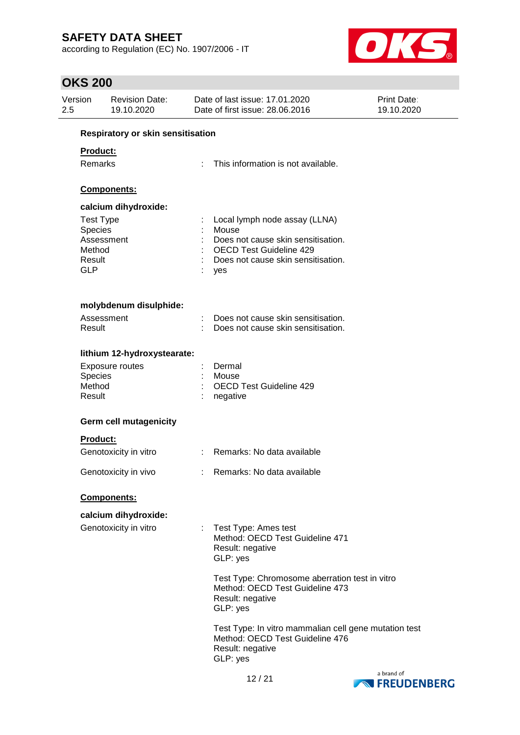according to Regulation (EC) No. 1907/2006 - IT



| Version<br>2.5                                                | <b>Revision Date:</b><br>19.10.2020           | Date of last issue: 17.01.2020<br>Date of first issue: 28.06.2016                                                                                           | <b>Print Date:</b><br>19.10.2020                      |  |
|---------------------------------------------------------------|-----------------------------------------------|-------------------------------------------------------------------------------------------------------------------------------------------------------------|-------------------------------------------------------|--|
|                                                               | Respiratory or skin sensitisation             |                                                                                                                                                             |                                                       |  |
| <b>Product:</b><br><b>Remarks</b>                             |                                               | This information is not available.                                                                                                                          |                                                       |  |
|                                                               | Components:                                   |                                                                                                                                                             |                                                       |  |
| <b>Test Type</b><br>Species<br>Method<br>Result<br><b>GLP</b> | calcium dihydroxide:<br>Assessment            | Local lymph node assay (LLNA)<br>Mouse<br>Does not cause skin sensitisation.<br><b>OECD Test Guideline 429</b><br>Does not cause skin sensitisation.<br>yes |                                                       |  |
| Result                                                        | molybdenum disulphide:<br>Assessment          | Does not cause skin sensitisation.<br>Does not cause skin sensitisation.                                                                                    |                                                       |  |
|                                                               | lithium 12-hydroxystearate:                   |                                                                                                                                                             |                                                       |  |
| Species<br>Method<br>Result                                   | <b>Exposure routes</b>                        | Dermal<br>Mouse<br><b>OECD Test Guideline 429</b><br>negative                                                                                               |                                                       |  |
|                                                               | <b>Germ cell mutagenicity</b>                 |                                                                                                                                                             |                                                       |  |
| Product:                                                      | Genotoxicity in vitro                         | Remarks: No data available                                                                                                                                  |                                                       |  |
|                                                               | Genotoxicity in vivo                          | Remarks: No data available                                                                                                                                  |                                                       |  |
|                                                               | Components:                                   |                                                                                                                                                             |                                                       |  |
|                                                               | calcium dihydroxide:<br>Genotoxicity in vitro | Test Type: Ames test<br>÷.<br>Method: OECD Test Guideline 471<br>Result: negative<br>GLP: yes                                                               |                                                       |  |
|                                                               |                                               | Method: OECD Test Guideline 473<br>Result: negative<br>GLP: yes                                                                                             | Test Type: Chromosome aberration test in vitro        |  |
|                                                               |                                               | Method: OECD Test Guideline 476<br>Result: negative<br>GLP: yes                                                                                             | Test Type: In vitro mammalian cell gene mutation test |  |
|                                                               |                                               |                                                                                                                                                             |                                                       |  |

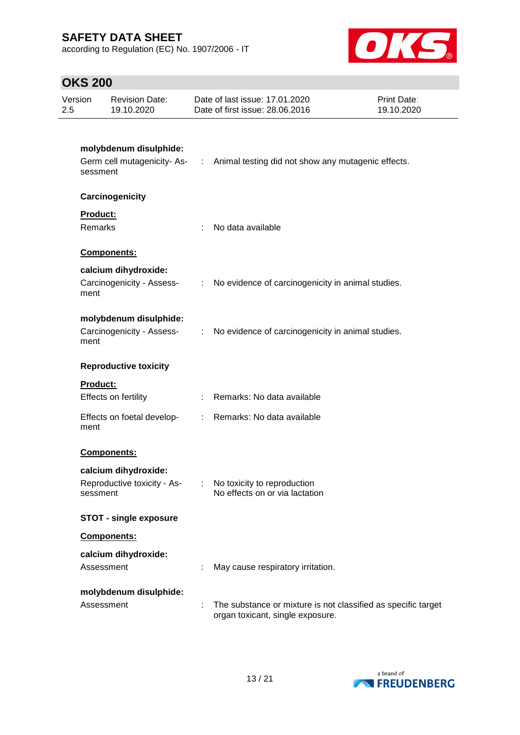according to Regulation (EC) No. 1907/2006 - IT



| Version<br>2.5 | <b>Revision Date:</b><br>19.10.2020                             |    | Date of last issue: 17.01.2020<br>Date of first issue: 28.06.2016                                 | <b>Print Date:</b><br>19.10.2020 |
|----------------|-----------------------------------------------------------------|----|---------------------------------------------------------------------------------------------------|----------------------------------|
|                | molybdenum disulphide:<br>sessment                              |    | Germ cell mutagenicity- As- : Animal testing did not show any mutagenic effects.                  |                                  |
|                | Carcinogenicity                                                 |    |                                                                                                   |                                  |
|                | Product:<br><b>Remarks</b>                                      | ÷. | No data available                                                                                 |                                  |
|                | Components:                                                     |    |                                                                                                   |                                  |
|                | calcium dihydroxide:<br>ment                                    |    | Carcinogenicity - Assess- : No evidence of carcinogenicity in animal studies.                     |                                  |
|                | molybdenum disulphide:<br>ment                                  |    | Carcinogenicity - Assess- : No evidence of carcinogenicity in animal studies.                     |                                  |
|                | <b>Reproductive toxicity</b>                                    |    |                                                                                                   |                                  |
|                | <b>Product:</b><br>Effects on fertility                         |    | : Remarks: No data available                                                                      |                                  |
|                | Effects on foetal develop-<br>ment                              |    | : Remarks: No data available                                                                      |                                  |
|                | Components:                                                     |    |                                                                                                   |                                  |
|                | calcium dihydroxide:<br>Reproductive toxicity - As-<br>sessment |    | No toxicity to reproduction<br>No effects on or via lactation                                     |                                  |
|                | <b>STOT - single exposure</b>                                   |    |                                                                                                   |                                  |
|                | Components:                                                     |    |                                                                                                   |                                  |
|                | calcium dihydroxide:<br>Assessment                              |    | May cause respiratory irritation.                                                                 |                                  |
|                | molybdenum disulphide:<br>Assessment                            |    | The substance or mixture is not classified as specific target<br>organ toxicant, single exposure. |                                  |

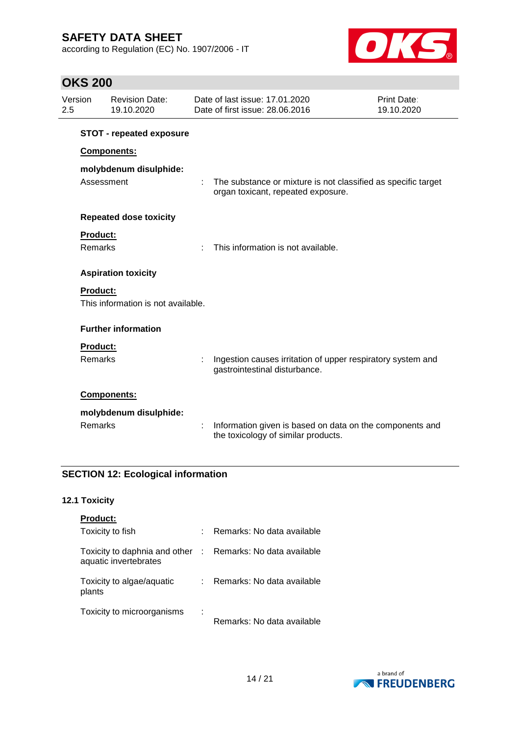according to Regulation (EC) No. 1907/2006 - IT



## **OKS 200**

| 2.5 | Version         | <b>Revision Date:</b><br>19.10.2020 | Date of last issue: 17.01.2020<br>Date of first issue: 28,06,2016                                   | Print Date:<br>19.10.2020 |
|-----|-----------------|-------------------------------------|-----------------------------------------------------------------------------------------------------|---------------------------|
|     |                 | <b>STOT - repeated exposure</b>     |                                                                                                     |                           |
|     |                 | <b>Components:</b>                  |                                                                                                     |                           |
|     |                 | molybdenum disulphide:              |                                                                                                     |                           |
|     | Assessment      |                                     | The substance or mixture is not classified as specific target<br>organ toxicant, repeated exposure. |                           |
|     |                 | <b>Repeated dose toxicity</b>       |                                                                                                     |                           |
|     | <b>Product:</b> |                                     |                                                                                                     |                           |
|     | Remarks         |                                     | This information is not available.                                                                  |                           |
|     |                 | <b>Aspiration toxicity</b>          |                                                                                                     |                           |
|     | <b>Product:</b> |                                     |                                                                                                     |                           |
|     |                 | This information is not available.  |                                                                                                     |                           |
|     |                 | <b>Further information</b>          |                                                                                                     |                           |
|     | <b>Product:</b> |                                     |                                                                                                     |                           |
|     | <b>Remarks</b>  |                                     | Ingestion causes irritation of upper respiratory system and<br>gastrointestinal disturbance.        |                           |
|     |                 | <b>Components:</b>                  |                                                                                                     |                           |
|     |                 | molybdenum disulphide:              |                                                                                                     |                           |
|     | Remarks         |                                     | Information given is based on data on the components and<br>the toxicology of similar products.     |                           |

### **SECTION 12: Ecological information**

### **12.1 Toxicity**

| <b>Product:</b>                                        |         |                            |
|--------------------------------------------------------|---------|----------------------------|
| Toxicity to fish                                       | t       | Remarks: No data available |
| Toxicity to daphnia and other<br>aquatic invertebrates | - till  | Remarks: No data available |
| Toxicity to algae/aquatic<br>plants                    | t.      | Remarks: No data available |
| Toxicity to microorganisms                             | ٠<br>l, | Remarks: No data available |

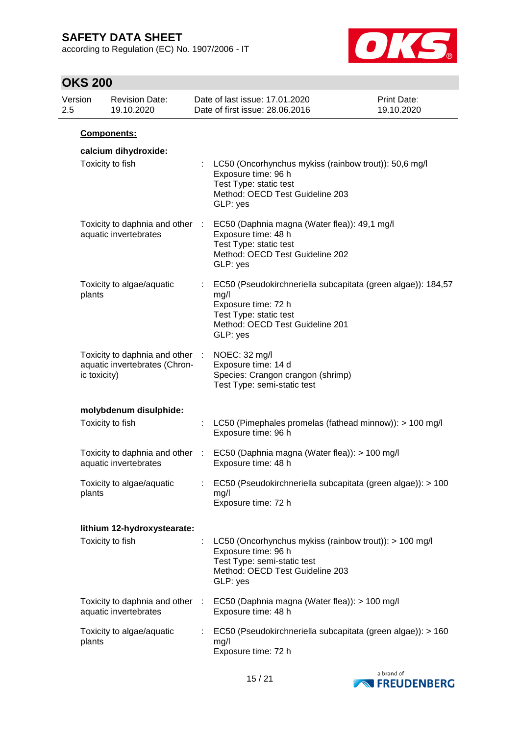according to Regulation (EC) No. 1907/2006 - IT



| Version<br>2.5 |                  | <b>Revision Date:</b><br>19.10.2020                              |    | Date of last issue: 17.01.2020<br>Date of first issue: 28.06.2016                                                                                                    | <b>Print Date:</b><br>19.10.2020 |
|----------------|------------------|------------------------------------------------------------------|----|----------------------------------------------------------------------------------------------------------------------------------------------------------------------|----------------------------------|
|                |                  | Components:                                                      |    |                                                                                                                                                                      |                                  |
|                |                  | calcium dihydroxide:                                             |    |                                                                                                                                                                      |                                  |
|                | Toxicity to fish |                                                                  |    | LC50 (Oncorhynchus mykiss (rainbow trout)): 50,6 mg/l<br>Exposure time: 96 h<br>Test Type: static test<br>Method: OECD Test Guideline 203<br>GLP: yes                |                                  |
|                |                  | Toxicity to daphnia and other :<br>aquatic invertebrates         |    | EC50 (Daphnia magna (Water flea)): 49,1 mg/l<br>Exposure time: 48 h<br>Test Type: static test<br>Method: OECD Test Guideline 202<br>GLP: yes                         |                                  |
|                | plants           | Toxicity to algae/aquatic                                        |    | EC50 (Pseudokirchneriella subcapitata (green algae)): 184,57<br>mg/l<br>Exposure time: 72 h<br>Test Type: static test<br>Method: OECD Test Guideline 201<br>GLP: yes |                                  |
|                | ic toxicity)     | Toxicity to daphnia and other :<br>aquatic invertebrates (Chron- |    | NOEC: 32 mg/l<br>Exposure time: 14 d<br>Species: Crangon crangon (shrimp)<br>Test Type: semi-static test                                                             |                                  |
|                |                  | molybdenum disulphide:                                           |    |                                                                                                                                                                      |                                  |
|                | Toxicity to fish |                                                                  |    | LC50 (Pimephales promelas (fathead minnow)): > 100 mg/l<br>Exposure time: 96 h                                                                                       |                                  |
|                |                  | Toxicity to daphnia and other :<br>aquatic invertebrates         |    | EC50 (Daphnia magna (Water flea)): > 100 mg/l<br>Exposure time: 48 h                                                                                                 |                                  |
|                | plants           | Toxicity to algae/aquatic                                        |    | EC50 (Pseudokirchneriella subcapitata (green algae)): > 100<br>mg/l<br>Exposure time: 72 h                                                                           |                                  |
|                |                  | lithium 12-hydroxystearate:                                      |    |                                                                                                                                                                      |                                  |
|                | Toxicity to fish |                                                                  |    | LC50 (Oncorhynchus mykiss (rainbow trout)): $> 100$ mg/l<br>Exposure time: 96 h<br>Test Type: semi-static test<br>Method: OECD Test Guideline 203<br>GLP: yes        |                                  |
|                |                  | Toxicity to daphnia and other :<br>aquatic invertebrates         |    | EC50 (Daphnia magna (Water flea)): > 100 mg/l<br>Exposure time: 48 h                                                                                                 |                                  |
|                | plants           | Toxicity to algae/aquatic                                        | t. | EC50 (Pseudokirchneriella subcapitata (green algae)): > 160<br>mg/l<br>Exposure time: 72 h                                                                           |                                  |

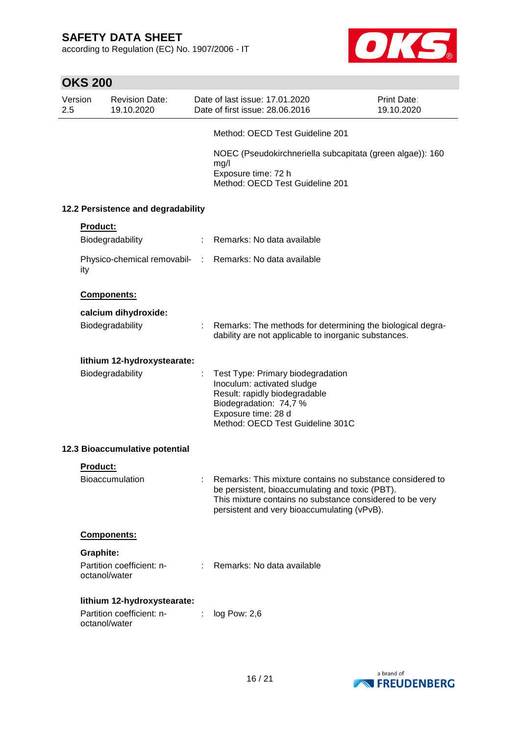according to Regulation (EC) No. 1907/2006 - IT



|                | <b>OKS 200</b>                     |                                                 |               |                                                                                                                                                                                                                         |                           |  |
|----------------|------------------------------------|-------------------------------------------------|---------------|-------------------------------------------------------------------------------------------------------------------------------------------------------------------------------------------------------------------------|---------------------------|--|
| Version<br>2.5 |                                    | <b>Revision Date:</b><br>19.10.2020             |               | Date of last issue: 17.01.2020<br>Date of first issue: 28.06.2016                                                                                                                                                       | Print Date:<br>19.10.2020 |  |
|                |                                    |                                                 |               | Method: OECD Test Guideline 201                                                                                                                                                                                         |                           |  |
|                |                                    |                                                 |               | NOEC (Pseudokirchneriella subcapitata (green algae)): 160<br>mg/l<br>Exposure time: 72 h<br>Method: OECD Test Guideline 201                                                                                             |                           |  |
|                | 12.2 Persistence and degradability |                                                 |               |                                                                                                                                                                                                                         |                           |  |
|                | <b>Product:</b>                    | Biodegradability                                | $\mathcal{L}$ | Remarks: No data available                                                                                                                                                                                              |                           |  |
|                | ity                                | Physico-chemical removabil-<br>:                |               | Remarks: No data available                                                                                                                                                                                              |                           |  |
|                |                                    | Components:                                     |               |                                                                                                                                                                                                                         |                           |  |
|                |                                    | calcium dihydroxide:<br>Biodegradability        |               | Remarks: The methods for determining the biological degra-<br>dability are not applicable to inorganic substances.                                                                                                      |                           |  |
|                |                                    | lithium 12-hydroxystearate:<br>Biodegradability |               | Test Type: Primary biodegradation<br>Inoculum: activated sludge<br>Result: rapidly biodegradable<br>Biodegradation: 74,7 %<br>Exposure time: 28 d<br>Method: OECD Test Guideline 301C                                   |                           |  |
|                |                                    | 12.3 Bioaccumulative potential                  |               |                                                                                                                                                                                                                         |                           |  |
|                | Product:                           |                                                 |               |                                                                                                                                                                                                                         |                           |  |
|                |                                    | <b>Bioaccumulation</b>                          |               | Remarks: This mixture contains no substance considered to<br>be persistent, bioaccumulating and toxic (PBT).<br>This mixture contains no substance considered to be very<br>persistent and very bioaccumulating (vPvB). |                           |  |
|                |                                    | Components:                                     |               |                                                                                                                                                                                                                         |                           |  |
|                | Graphite:                          |                                                 |               |                                                                                                                                                                                                                         |                           |  |
|                | octanol/water                      | Partition coefficient: n-                       |               | Remarks: No data available                                                                                                                                                                                              |                           |  |
|                |                                    | lithium 12-hydroxystearate:                     |               |                                                                                                                                                                                                                         |                           |  |
|                | octanol/water                      | Partition coefficient: n-                       |               | log Pow: 2,6                                                                                                                                                                                                            |                           |  |

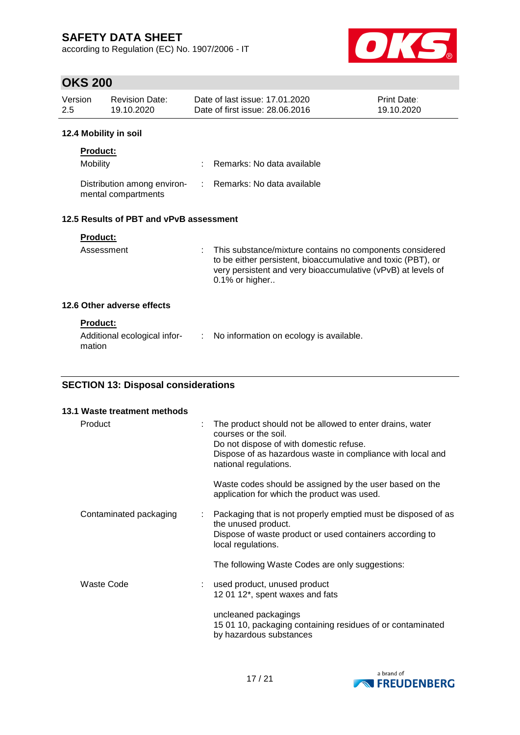according to Regulation (EC) No. 1907/2006 - IT



## **OKS 200**

| Version<br>$2.5^{\circ}$                |                 | <b>Revision Date:</b><br>19.10.2020                |  | Date of last issue: 17.01.2020<br>Date of first issue: 28.06.2016                                                                                                                          | <b>Print Date:</b><br>19.10.2020 |
|-----------------------------------------|-----------------|----------------------------------------------------|--|--------------------------------------------------------------------------------------------------------------------------------------------------------------------------------------------|----------------------------------|
|                                         |                 | 12.4 Mobility in soil                              |  |                                                                                                                                                                                            |                                  |
|                                         | <b>Product:</b> |                                                    |  |                                                                                                                                                                                            |                                  |
|                                         | Mobility        |                                                    |  | Remarks: No data available                                                                                                                                                                 |                                  |
|                                         |                 | Distribution among environ-<br>mental compartments |  | : Remarks: No data available                                                                                                                                                               |                                  |
| 12.5 Results of PBT and vPvB assessment |                 |                                                    |  |                                                                                                                                                                                            |                                  |
|                                         | <b>Product:</b> |                                                    |  |                                                                                                                                                                                            |                                  |
|                                         | Assessment      |                                                    |  | : This substance/mixture contains no components considered<br>to be either persistent, bioaccumulative and toxic (PBT), or<br>very persistent and very bioaccumulative (vPvB) at levels of |                                  |

0.1% or higher..

### **12.6 Other adverse effects**

### **Product:**

| Additional ecological infor- | No information on ecology is available. |
|------------------------------|-----------------------------------------|
| mation                       |                                         |

### **SECTION 13: Disposal considerations**

| 13.1 Waste treatment methods |   |                                                                                                                                                                                                                    |
|------------------------------|---|--------------------------------------------------------------------------------------------------------------------------------------------------------------------------------------------------------------------|
| Product                      | ÷ | The product should not be allowed to enter drains, water<br>courses or the soil.<br>Do not dispose of with domestic refuse.<br>Dispose of as hazardous waste in compliance with local and<br>national regulations. |
|                              |   | Waste codes should be assigned by the user based on the<br>application for which the product was used.                                                                                                             |
| Contaminated packaging       |   | Packaging that is not properly emptied must be disposed of as<br>the unused product.<br>Dispose of waste product or used containers according to<br>local regulations.                                             |
|                              |   | The following Waste Codes are only suggestions:                                                                                                                                                                    |
| Waste Code                   |   | used product, unused product<br>12 01 12*, spent waxes and fats                                                                                                                                                    |
|                              |   | uncleaned packagings<br>15 01 10, packaging containing residues of or contaminated<br>by hazardous substances                                                                                                      |

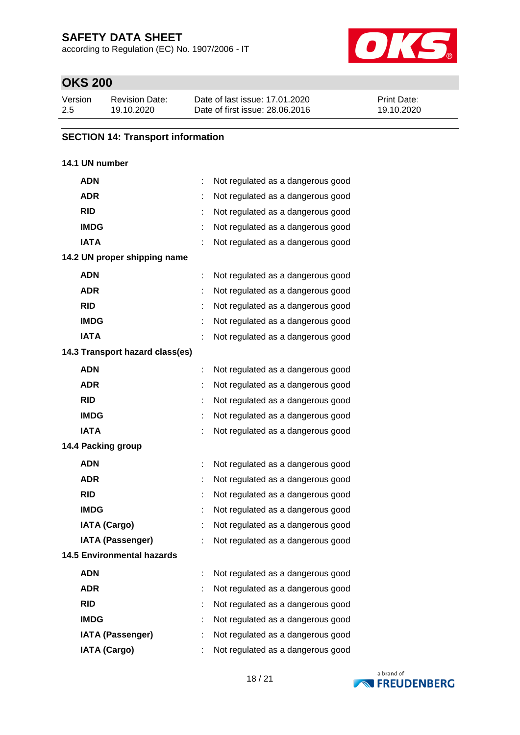according to Regulation (EC) No. 1907/2006 - IT



## **OKS 200**

| Version | <b>Revision Date:</b> | Date of last issue: 17,01,2020  | <b>Print Date:</b> |
|---------|-----------------------|---------------------------------|--------------------|
| 2.5     | 19.10.2020            | Date of first issue: 28,06,2016 | 19.10.2020         |

### **SECTION 14: Transport information**

### **14.1 UN number**

| <b>ADN</b>                        |   | Not regulated as a dangerous good |
|-----------------------------------|---|-----------------------------------|
| <b>ADR</b>                        |   | Not regulated as a dangerous good |
| <b>RID</b>                        |   | Not regulated as a dangerous good |
| <b>IMDG</b>                       |   | Not regulated as a dangerous good |
| <b>IATA</b>                       |   | Not regulated as a dangerous good |
| 14.2 UN proper shipping name      |   |                                   |
| <b>ADN</b>                        |   | Not regulated as a dangerous good |
| <b>ADR</b>                        |   | Not regulated as a dangerous good |
| <b>RID</b>                        |   | Not regulated as a dangerous good |
| <b>IMDG</b>                       |   | Not regulated as a dangerous good |
| <b>IATA</b>                       |   | Not regulated as a dangerous good |
| 14.3 Transport hazard class(es)   |   |                                   |
| <b>ADN</b>                        |   | Not regulated as a dangerous good |
| <b>ADR</b>                        |   | Not regulated as a dangerous good |
| <b>RID</b>                        |   | Not regulated as a dangerous good |
| <b>IMDG</b>                       |   | Not regulated as a dangerous good |
| <b>IATA</b>                       |   | Not regulated as a dangerous good |
| 14.4 Packing group                |   |                                   |
| <b>ADN</b>                        |   | Not regulated as a dangerous good |
| <b>ADR</b>                        |   | Not regulated as a dangerous good |
| <b>RID</b>                        | t | Not regulated as a dangerous good |
| <b>IMDG</b>                       |   | Not regulated as a dangerous good |
| <b>IATA (Cargo)</b>               |   | Not regulated as a dangerous good |
| <b>IATA (Passenger)</b>           |   | Not regulated as a dangerous good |
| <b>14.5 Environmental hazards</b> |   |                                   |
| <b>ADN</b>                        |   | Not regulated as a dangerous good |
| <b>ADR</b>                        |   | Not regulated as a dangerous good |
| <b>RID</b>                        |   | Not regulated as a dangerous good |
| <b>IMDG</b>                       |   | Not regulated as a dangerous good |
| <b>IATA (Passenger)</b>           |   | Not regulated as a dangerous good |
| <b>IATA (Cargo)</b>               |   | Not regulated as a dangerous good |

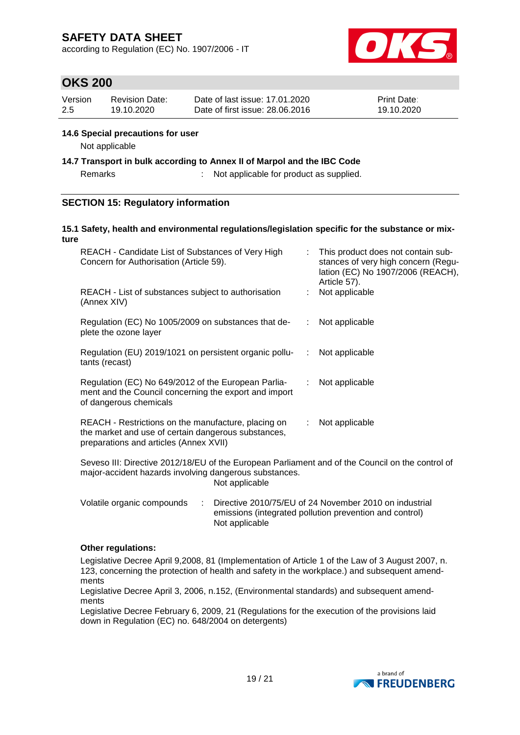according to Regulation (EC) No. 1907/2006 - IT



## **OKS 200**

| Version | Revision Date: | Date of last issue: 17.01.2020  | <b>Print Date:</b> |
|---------|----------------|---------------------------------|--------------------|
| -2.5    | 19.10.2020     | Date of first issue: 28,06,2016 | 19.10.2020         |

### **14.6 Special precautions for user**

Not applicable

**14.7 Transport in bulk according to Annex II of Marpol and the IBC Code**

Remarks : Not applicable for product as supplied.

### **SECTION 15: Regulatory information**

#### **15.1 Safety, health and environmental regulations/legislation specific for the substance or mixture**

| REACH - Candidate List of Substances of Very High<br>Concern for Authorisation (Article 59).                                                         | t. | This product does not contain sub-<br>stances of very high concern (Regu-<br>lation (EC) No 1907/2006 (REACH),<br>Article 57). |
|------------------------------------------------------------------------------------------------------------------------------------------------------|----|--------------------------------------------------------------------------------------------------------------------------------|
| REACH - List of substances subject to authorisation<br>(Annex XIV)                                                                                   |    | Not applicable                                                                                                                 |
| Regulation (EC) No 1005/2009 on substances that de-<br>plete the ozone layer                                                                         | t. | Not applicable                                                                                                                 |
| Regulation (EU) 2019/1021 on persistent organic pollu-<br>tants (recast)                                                                             | ÷. | Not applicable                                                                                                                 |
| Regulation (EC) No 649/2012 of the European Parlia-<br>ment and the Council concerning the export and import<br>of dangerous chemicals               | t. | Not applicable                                                                                                                 |
| REACH - Restrictions on the manufacture, placing on<br>the market and use of certain dangerous substances,<br>preparations and articles (Annex XVII) | t. | Not applicable                                                                                                                 |
| .  III INSTRUCT . AALAMAMINIS LEGENS IN THE SECOND LIMIT ASSAULT 1                                                                                   |    |                                                                                                                                |

Seveso III: Directive 2012/18/EU of the European Parliament and of the Council on the control of major-accident hazards involving dangerous substances. Not applicable

| Volatile organic compounds | $\therefore$ Directive 2010/75/EU of 24 November 2010 on industrial |
|----------------------------|---------------------------------------------------------------------|
|                            | emissions (integrated pollution prevention and control)             |
|                            | Not applicable                                                      |

### **Other regulations:**

Legislative Decree April 9,2008, 81 (Implementation of Article 1 of the Law of 3 August 2007, n. 123, concerning the protection of health and safety in the workplace.) and subsequent amendments

Legislative Decree April 3, 2006, n.152, (Environmental standards) and subsequent amendments

Legislative Decree February 6, 2009, 21 (Regulations for the execution of the provisions laid down in Regulation (EC) no. 648/2004 on detergents)

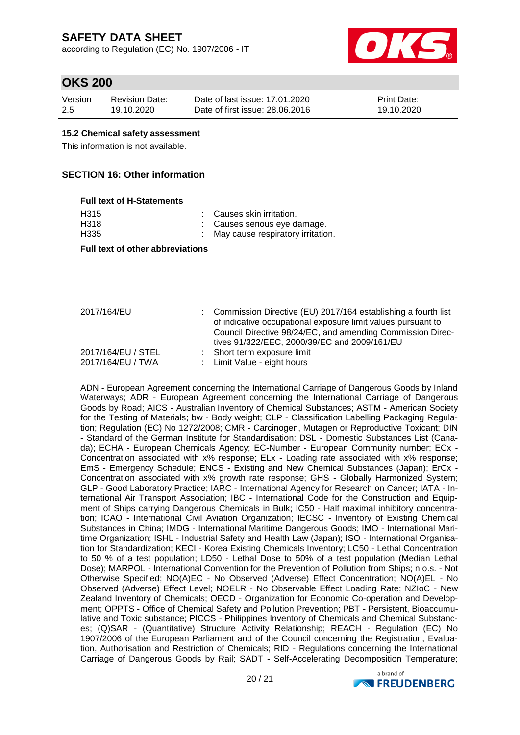according to Regulation (EC) No. 1907/2006 - IT



### **OKS 200**

| Version | Revision Date: | Date of last issue: 17.01.2020  | <b>Print Date:</b> |
|---------|----------------|---------------------------------|--------------------|
| 2.5     | 19.10.2020     | Date of first issue: 28,06,2016 | 19.10.2020         |

### **15.2 Chemical safety assessment**

This information is not available.

### **SECTION 16: Other information**

## **Full text of H-Statements** H315 : Causes skin irritation.

H318 : Causes serious eye damage. H335 : May cause respiratory irritation.

**Full text of other abbreviations**

| 2017/164/EU                             | : Commission Directive (EU) 2017/164 establishing a fourth list<br>of indicative occupational exposure limit values pursuant to<br>Council Directive 98/24/EC, and amending Commission Direc-<br>tives 91/322/EEC, 2000/39/EC and 2009/161/EU |
|-----------------------------------------|-----------------------------------------------------------------------------------------------------------------------------------------------------------------------------------------------------------------------------------------------|
| 2017/164/EU / STEL<br>2017/164/EU / TWA | : Short term exposure limit<br>: Limit Value - eight hours                                                                                                                                                                                    |

ADN - European Agreement concerning the International Carriage of Dangerous Goods by Inland Waterways; ADR - European Agreement concerning the International Carriage of Dangerous Goods by Road; AICS - Australian Inventory of Chemical Substances; ASTM - American Society for the Testing of Materials; bw - Body weight; CLP - Classification Labelling Packaging Regulation; Regulation (EC) No 1272/2008; CMR - Carcinogen, Mutagen or Reproductive Toxicant; DIN - Standard of the German Institute for Standardisation; DSL - Domestic Substances List (Canada); ECHA - European Chemicals Agency; EC-Number - European Community number; ECx - Concentration associated with x% response; ELx - Loading rate associated with x% response; EmS - Emergency Schedule; ENCS - Existing and New Chemical Substances (Japan); ErCx - Concentration associated with x% growth rate response; GHS - Globally Harmonized System; GLP - Good Laboratory Practice; IARC - International Agency for Research on Cancer; IATA - International Air Transport Association; IBC - International Code for the Construction and Equipment of Ships carrying Dangerous Chemicals in Bulk; IC50 - Half maximal inhibitory concentration; ICAO - International Civil Aviation Organization; IECSC - Inventory of Existing Chemical Substances in China; IMDG - International Maritime Dangerous Goods; IMO - International Maritime Organization; ISHL - Industrial Safety and Health Law (Japan); ISO - International Organisation for Standardization; KECI - Korea Existing Chemicals Inventory; LC50 - Lethal Concentration to 50 % of a test population; LD50 - Lethal Dose to 50% of a test population (Median Lethal Dose); MARPOL - International Convention for the Prevention of Pollution from Ships; n.o.s. - Not Otherwise Specified; NO(A)EC - No Observed (Adverse) Effect Concentration; NO(A)EL - No Observed (Adverse) Effect Level; NOELR - No Observable Effect Loading Rate; NZIoC - New Zealand Inventory of Chemicals; OECD - Organization for Economic Co-operation and Development; OPPTS - Office of Chemical Safety and Pollution Prevention; PBT - Persistent, Bioaccumulative and Toxic substance; PICCS - Philippines Inventory of Chemicals and Chemical Substances; (Q)SAR - (Quantitative) Structure Activity Relationship; REACH - Regulation (EC) No 1907/2006 of the European Parliament and of the Council concerning the Registration, Evaluation, Authorisation and Restriction of Chemicals; RID - Regulations concerning the International Carriage of Dangerous Goods by Rail; SADT - Self-Accelerating Decomposition Temperature;